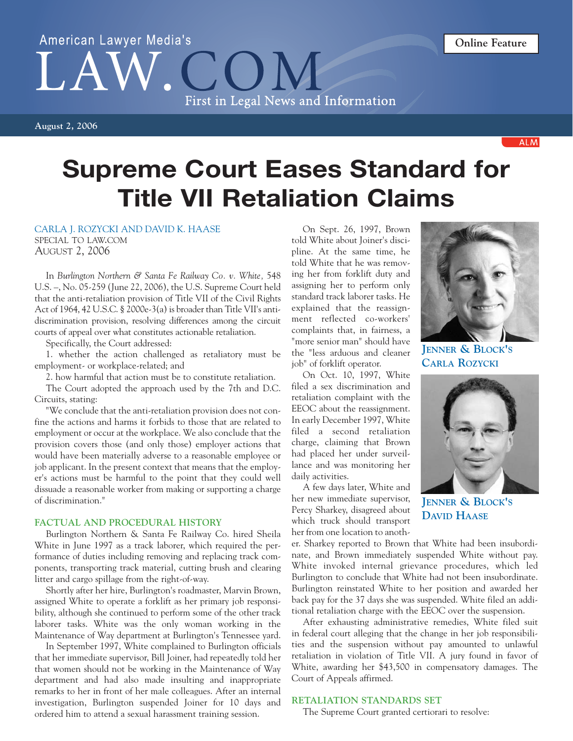# American Lawyer Media's  $LA$ First in Legal News and Information

**August 2, 2006**

**ALM** 

# **Supreme Court Eases Standard for Title VII Retaliation Claims**

## CARLA J. ROZYCKI AND DAVID K. HAASE

SPECIAL TO LAW.COM AUGUST 2, 2006

In *Burlington Northern & Santa Fe Railway Co. v. White,* 548 U.S. –, No. 05-259 (June 22, 2006), the U.S. Supreme Court held that the anti-retaliation provision of Title VII of the Civil Rights Act of 1964, 42 U.S.C. § 2000e-3(a) is broader than Title VII's antidiscrimination provision, resolving differences among the circuit courts of appeal over what constitutes actionable retaliation.

Specifically, the Court addressed:

1. whether the action challenged as retaliatory must be employment- or workplace-related; and

2. how harmful that action must be to constitute retaliation.

The Court adopted the approach used by the 7th and D.C. Circuits, stating:

"We conclude that the anti-retaliation provision does not confine the actions and harms it forbids to those that are related to employment or occur at the workplace. We also conclude that the provision covers those (and only those) employer actions that would have been materially adverse to a reasonable employee or job applicant. In the present context that means that the employer's actions must be harmful to the point that they could well dissuade a reasonable worker from making or supporting a charge of discrimination."

#### **FACTUAL AND PROCEDURAL HISTORY**

Burlington Northern & Santa Fe Railway Co. hired Sheila White in June 1997 as a track laborer, which required the performance of duties including removing and replacing track components, transporting track material, cutting brush and clearing litter and cargo spillage from the right-of-way.

Shortly after her hire, Burlington's roadmaster, Marvin Brown, assigned White to operate a forklift as her primary job responsibility, although she continued to perform some of the other track laborer tasks. White was the only woman working in the Maintenance of Way department at Burlington's Tennessee yard.

In September 1997, White complained to Burlington officials that her immediate supervisor, Bill Joiner, had repeatedly told her that women should not be working in the Maintenance of Way department and had also made insulting and inappropriate remarks to her in front of her male colleagues. After an internal investigation, Burlington suspended Joiner for 10 days and ordered him to attend a sexual harassment training session.

On Sept. 26, 1997, Brown told White about Joiner's discipline. At the same time, he told White that he was removing her from forklift duty and assigning her to perform only standard track laborer tasks. He explained that the reassignment reflected co-workers' complaints that, in fairness, a "more senior man" should have the "less arduous and cleaner job" of forklift operator.

On Oct. 10, 1997, White filed a sex discrimination and retaliation complaint with the EEOC about the reassignment. In early December 1997, White filed a second retaliation charge, claiming that Brown had placed her under surveillance and was monitoring her daily activities.

A few days later, White and her new immediate supervisor, Percy Sharkey, disagreed about which truck should transport her from one location to anoth-

**JENNER & BLOCK'S CARLA ROZYCKI**



**JENNER & BLOCK'S DAVID HAASE**

er. Sharkey reported to Brown that White had been insubordinate, and Brown immediately suspended White without pay. White invoked internal grievance procedures, which led Burlington to conclude that White had not been insubordinate. Burlington reinstated White to her position and awarded her back pay for the 37 days she was suspended. White filed an additional retaliation charge with the EEOC over the suspension.

After exhausting administrative remedies, White filed suit in federal court alleging that the change in her job responsibilities and the suspension without pay amounted to unlawful retaliation in violation of Title VII. A jury found in favor of White, awarding her \$43,500 in compensatory damages. The Court of Appeals affirmed.

# **RETALIATION STANDARDS SET**

The Supreme Court granted certiorari to resolve: